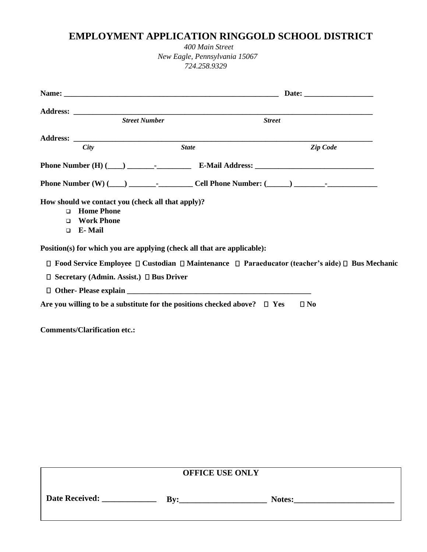# **EMPLOYMENT APPLICATION RINGGOLD SCHOOL DISTRICT**

*400 Main Street New Eagle, Pennsylvania 15067 724.258.9329*

|                  | <b>Street Number</b>                                    |                                                   | <b>Street</b>                                                                  |                                                                                                            |
|------------------|---------------------------------------------------------|---------------------------------------------------|--------------------------------------------------------------------------------|------------------------------------------------------------------------------------------------------------|
|                  |                                                         |                                                   |                                                                                |                                                                                                            |
|                  | City                                                    | <b>State</b>                                      |                                                                                | Zip Code                                                                                                   |
|                  |                                                         |                                                   |                                                                                |                                                                                                            |
|                  |                                                         |                                                   |                                                                                |                                                                                                            |
| $\Box$<br>$\Box$ | <b>Home Phone</b><br><b>Work Phone</b><br>$\Box$ E-Mail | How should we contact you (check all that apply)? |                                                                                |                                                                                                            |
|                  |                                                         |                                                   | Position(s) for which you are applying (check all that are applicable):        |                                                                                                            |
|                  |                                                         |                                                   |                                                                                | $□$ Food Service Employee $□$ Custodian $□$ Maintenance $□$ Paraeducator (teacher's aide) $□$ Bus Mechanic |
|                  | $\Box$ Secretary (Admin. Assist.) $\Box$ Bus Driver     |                                                   |                                                                                |                                                                                                            |
|                  |                                                         |                                                   |                                                                                |                                                                                                            |
|                  |                                                         |                                                   | Are you willing to be a substitute for the positions checked above? $\Box$ Yes | $\square$ No                                                                                               |
|                  | <b>Comments/Clarification etc.:</b>                     |                                                   |                                                                                |                                                                                                            |

| <b>OFFICE USE ONLY</b> |     |        |  |  |
|------------------------|-----|--------|--|--|
| <b>Date Received:</b>  | Bv: | Notes: |  |  |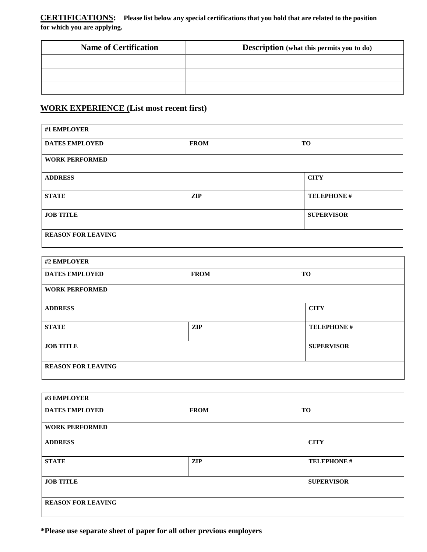**CERTIFICATIONS: Please list below any special certifications that you hold that are related to the position for which you are applying.**

| <b>Name of Certification</b> | <b>Description</b> (what this permits you to do) |
|------------------------------|--------------------------------------------------|
|                              |                                                  |
|                              |                                                  |
|                              |                                                  |
|                              |                                                  |

## **WORK EXPERIENCE (List most recent first)**

| #1 EMPLOYER               |             |                   |
|---------------------------|-------------|-------------------|
| <b>DATES EMPLOYED</b>     | <b>FROM</b> |                   |
| <b>WORK PERFORMED</b>     |             |                   |
| <b>ADDRESS</b>            |             | <b>CITY</b>       |
| <b>STATE</b>              | <b>ZIP</b>  | <b>TELEPHONE#</b> |
| <b>JOB TITLE</b>          |             | <b>SUPERVISOR</b> |
| <b>REASON FOR LEAVING</b> |             |                   |

| #2 EMPLOYER               |             |                   |
|---------------------------|-------------|-------------------|
| <b>DATES EMPLOYED</b>     | <b>FROM</b> | TO                |
| <b>WORK PERFORMED</b>     |             |                   |
| <b>ADDRESS</b>            |             | <b>CITY</b>       |
| <b>STATE</b>              | <b>ZIP</b>  | <b>TELEPHONE#</b> |
| <b>JOB TITLE</b>          |             | <b>SUPERVISOR</b> |
| <b>REASON FOR LEAVING</b> |             |                   |

| #3 EMPLOYER               |             |                   |
|---------------------------|-------------|-------------------|
| <b>DATES EMPLOYED</b>     | <b>FROM</b> | <b>TO</b>         |
| <b>WORK PERFORMED</b>     |             |                   |
| <b>ADDRESS</b>            |             | <b>CITY</b>       |
| <b>STATE</b>              | <b>ZIP</b>  | <b>TELEPHONE#</b> |
| <b>JOB TITLE</b>          |             | <b>SUPERVISOR</b> |
| <b>REASON FOR LEAVING</b> |             |                   |

**\*Please use separate sheet of paper for all other previous employers**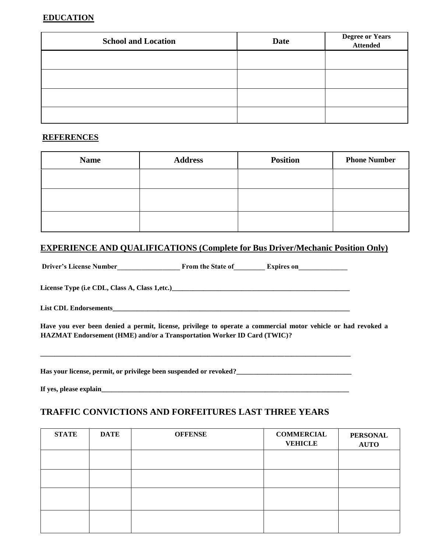### **EDUCATION**

| <b>School and Location</b> | <b>Date</b> | <b>Degree or Years</b><br><b>Attended</b> |
|----------------------------|-------------|-------------------------------------------|
|                            |             |                                           |
|                            |             |                                           |
|                            |             |                                           |
|                            |             |                                           |

#### **REFERENCES**

| <b>Name</b> | <b>Address</b> | <b>Position</b> | <b>Phone Number</b> |
|-------------|----------------|-----------------|---------------------|
|             |                |                 |                     |
|             |                |                 |                     |
|             |                |                 |                     |

### **EXPERIENCE AND QUALIFICATIONS (Complete for Bus Driver/Mechanic Position Only)**

Driver's License Number\_\_\_\_\_\_\_\_\_\_\_\_\_\_\_\_\_\_\_\_\_\_\_\_ From the State of\_\_\_\_\_\_\_\_\_\_\_ Expires on\_\_\_\_\_\_\_\_\_\_\_\_\_\_\_\_\_\_\_\_\_\_

**License Type (i.e CDL, Class A, Class 1,etc.)\_\_\_\_\_\_\_\_\_\_\_\_\_\_\_\_\_\_\_\_\_\_\_\_\_\_\_\_\_\_\_\_\_\_\_\_\_\_\_\_\_\_\_\_\_\_\_\_\_\_\_** 

**List CDL Endorsements\_\_\_\_\_\_\_\_\_\_\_\_\_\_\_\_\_\_\_\_\_\_\_\_\_\_\_\_\_\_\_\_\_\_\_\_\_\_\_\_\_\_\_\_\_\_\_\_\_\_\_\_\_\_\_\_\_\_\_\_\_\_\_\_\_\_\_\_** 

**Have you ever been denied a permit, license, privilege to operate a commercial motor vehicle or had revoked a HAZMAT Endorsement (HME) and/or a Transportation Worker ID Card (TWIC)?** 

**Has your license, permit, or privilege been suspended or revoked?\_\_\_\_\_\_\_\_\_\_\_\_\_\_\_\_\_\_\_\_\_\_\_\_\_\_\_\_\_\_\_\_\_** 

**\_\_\_\_\_\_\_\_\_\_\_\_\_\_\_\_\_\_\_\_\_\_\_\_\_\_\_\_\_\_\_\_\_\_\_\_\_\_\_\_\_\_\_\_\_\_\_\_\_\_\_\_\_\_\_\_\_\_\_\_\_\_\_\_\_\_\_\_\_\_\_\_\_\_\_\_\_\_\_\_\_\_\_\_\_\_\_\_\_** 

**If yes, please explain\_\_\_\_\_\_\_\_\_\_\_\_\_\_\_\_\_\_\_\_\_\_\_\_\_\_\_\_\_\_\_\_\_\_\_\_\_\_\_\_\_\_\_\_\_\_\_\_\_\_\_\_\_\_\_\_\_\_\_\_\_\_\_\_\_\_\_\_\_\_\_** 

### **TRAFFIC CONVICTIONS AND FORFEITURES LAST THREE YEARS**

| <b>STATE</b> | <b>DATE</b> | <b>OFFENSE</b> | <b>COMMERCIAL</b><br><b>VEHICLE</b> | <b>PERSONAL</b><br><b>AUTO</b> |
|--------------|-------------|----------------|-------------------------------------|--------------------------------|
|              |             |                |                                     |                                |
|              |             |                |                                     |                                |
|              |             |                |                                     |                                |
|              |             |                |                                     |                                |